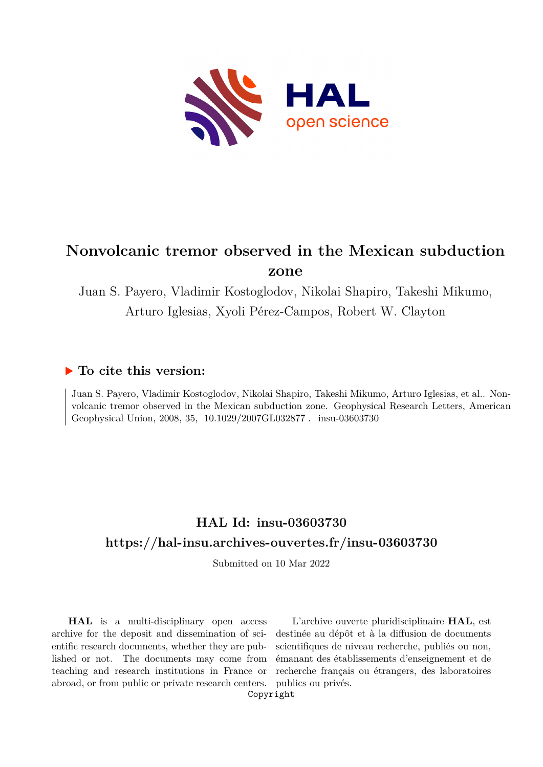

# **Nonvolcanic tremor observed in the Mexican subduction zone**

Juan S. Payero, Vladimir Kostoglodov, Nikolai Shapiro, Takeshi Mikumo, Arturo Iglesias, Xyoli Pérez-Campos, Robert W. Clayton

### **To cite this version:**

Juan S. Payero, Vladimir Kostoglodov, Nikolai Shapiro, Takeshi Mikumo, Arturo Iglesias, et al.. Nonvolcanic tremor observed in the Mexican subduction zone. Geophysical Research Letters, American Geophysical Union, 2008, 35, 10.1029/2007GL032877. insu-03603730

## **HAL Id: insu-03603730 <https://hal-insu.archives-ouvertes.fr/insu-03603730>**

Submitted on 10 Mar 2022

**HAL** is a multi-disciplinary open access archive for the deposit and dissemination of scientific research documents, whether they are published or not. The documents may come from teaching and research institutions in France or abroad, or from public or private research centers.

L'archive ouverte pluridisciplinaire **HAL**, est destinée au dépôt et à la diffusion de documents scientifiques de niveau recherche, publiés ou non, émanant des établissements d'enseignement et de recherche français ou étrangers, des laboratoires publics ou privés.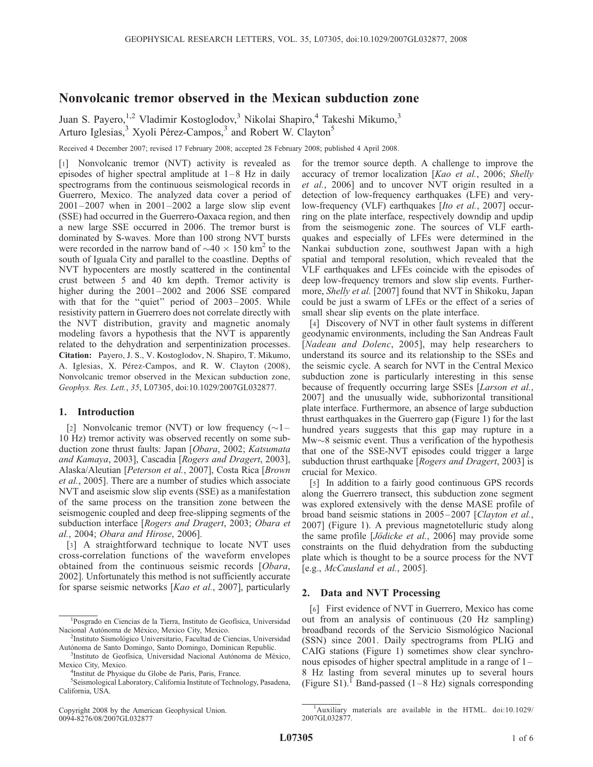### Nonvolcanic tremor observed in the Mexican subduction zone

Juan S. Payero,<sup>1,2</sup> Vladimir Kostoglodov,<sup>3</sup> Nikolai Shapiro,<sup>4</sup> Takeshi Mikumo,<sup>3</sup> Arturo Iglesias,<sup>3</sup> Xyoli Pérez-Campos,<sup>3</sup> and Robert W. Clayton<sup>5</sup>

Received 4 December 2007; revised 17 February 2008; accepted 28 February 2008; published 4 April 2008.

[1] Nonvolcanic tremor (NVT) activity is revealed as episodes of higher spectral amplitude at  $1-8$  Hz in daily spectrograms from the continuous seismological records in Guerrero, Mexico. The analyzed data cover a period of  $2001 - 2007$  when in  $2001 - 2002$  a large slow slip event (SSE) had occurred in the Guerrero-Oaxaca region, and then a new large SSE occurred in 2006. The tremor burst is dominated by S-waves. More than 100 strong NVT bursts were recorded in the narrow band of  $\sim$ 40  $\times$  150 km<sup>2</sup> to the south of Iguala City and parallel to the coastline. Depths of NVT hypocenters are mostly scattered in the continental crust between 5 and 40 km depth. Tremor activity is higher during the  $2001 - 2002$  and  $2006$  SSE compared with that for the "quiet" period of 2003-2005. While resistivity pattern in Guerrero does not correlate directly with the NVT distribution, gravity and magnetic anomaly modeling favors a hypothesis that the NVT is apparently related to the dehydration and serpentinization processes. Citation: Payero, J. S., V. Kostoglodov, N. Shapiro, T. Mikumo, A. Iglesias, X. Pérez-Campos, and R. W. Clayton (2008), Nonvolcanic tremor observed in the Mexican subduction zone, Geophys. Res. Lett., 35, L07305, doi:10.1029/2007GL032877.

#### 1. Introduction

[2] Nonvolcanic tremor (NVT) or low frequency  $(\sim]$  – 10 Hz) tremor activity was observed recently on some subduction zone thrust faults: Japan [Obara, 2002; Katsumata and Kamaya, 2003], Cascadia [Rogers and Dragert, 2003], Alaska/Aleutian [Peterson et al., 2007], Costa Rica [Brown et al., 2005]. There are a number of studies which associate NVT and aseismic slow slip events (SSE) as a manifestation of the same process on the transition zone between the seismogenic coupled and deep free-slipping segments of the subduction interface [Rogers and Dragert, 2003; Obara et al., 2004; Obara and Hirose, 2006].

[3] A straightforward technique to locate NVT uses cross-correlation functions of the waveform envelopes obtained from the continuous seismic records [Obara, 2002]. Unfortunately this method is not sufficiently accurate for sparse seismic networks [Kao et al., 2007], particularly

Copyright 2008 by the American Geophysical Union. 0094-8276/08/2007GL032877

for the tremor source depth. A challenge to improve the accuracy of tremor localization [Kao et al., 2006; Shelly et al., 2006] and to uncover NVT origin resulted in a detection of low-frequency earthquakes (LFE) and verylow-frequency (VLF) earthquakes [Ito et al., 2007] occurring on the plate interface, respectively downdip and updip from the seismogenic zone. The sources of VLF earthquakes and especially of LFEs were determined in the Nankai subduction zone, southwest Japan with a high spatial and temporal resolution, which revealed that the VLF earthquakes and LFEs coincide with the episodes of deep low-frequency tremors and slow slip events. Furthermore, Shelly et al. [2007] found that NVT in Shikoku, Japan could be just a swarm of LFEs or the effect of a series of small shear slip events on the plate interface.

[4] Discovery of NVT in other fault systems in different geodynamic environments, including the San Andreas Fault [Nadeau and Dolenc, 2005], may help researchers to understand its source and its relationship to the SSEs and the seismic cycle. A search for NVT in the Central Mexico subduction zone is particularly interesting in this sense because of frequently occurring large SSEs [Larson et al., 2007] and the unusually wide, subhorizontal transitional plate interface. Furthermore, an absence of large subduction thrust earthquakes in the Guerrero gap (Figure 1) for the last hundred years suggests that this gap may rupture in a  $Mw\sim8$  seismic event. Thus a verification of the hypothesis that one of the SSE-NVT episodes could trigger a large subduction thrust earthquake [Rogers and Dragert, 2003] is crucial for Mexico.

[5] In addition to a fairly good continuous GPS records along the Guerrero transect, this subduction zone segment was explored extensively with the dense MASE profile of broad band seismic stations in 2005–2007 [Clayton et al., 2007] (Figure 1). A previous magnetotelluric study along the same profile [Jödicke et al., 2006] may provide some constraints on the fluid dehydration from the subducting plate which is thought to be a source process for the NVT [e.g., McCausland et al., 2005].

#### 2. Data and NVT Processing

[6] First evidence of NVT in Guerrero, Mexico has come out from an analysis of continuous (20 Hz sampling) broadband records of the Servicio Sismológico Nacional (SSN) since 2001. Daily spectrograms from PLIG and CAIG stations (Figure 1) sometimes show clear synchronous episodes of higher spectral amplitude in a range of  $1-$ 8 Hz lasting from several minutes up to several hours (Figure S1).<sup>1</sup> Band-passed (1–8 Hz) signals corresponding

<sup>&</sup>lt;sup>1</sup>Posgrado en Ciencias de la Tierra, Instituto de Geofísica, Universidad Nacional Autónoma de México, Mexico City, Mexico.

<sup>&</sup>lt;sup>2</sup>Instituto Sismológico Universitario, Facultad de Ciencias, Universidad Autónoma de Santo Domingo, Santo Domingo, Dominican Republic.

<sup>&</sup>lt;sup>3</sup>Instituto de Geofísica, Universidad Nacional Autónoma de México, Mexico City, Mexico.

<sup>&</sup>lt;sup>4</sup>Institut de Physique du Globe de Paris, Paris, France.

<sup>5</sup> Seismological Laboratory, California Institute of Technology, Pasadena, California, USA.

<sup>&</sup>lt;sup>1</sup>Auxiliary materials are available in the HTML. doi:10.1029/ 2007GL032877.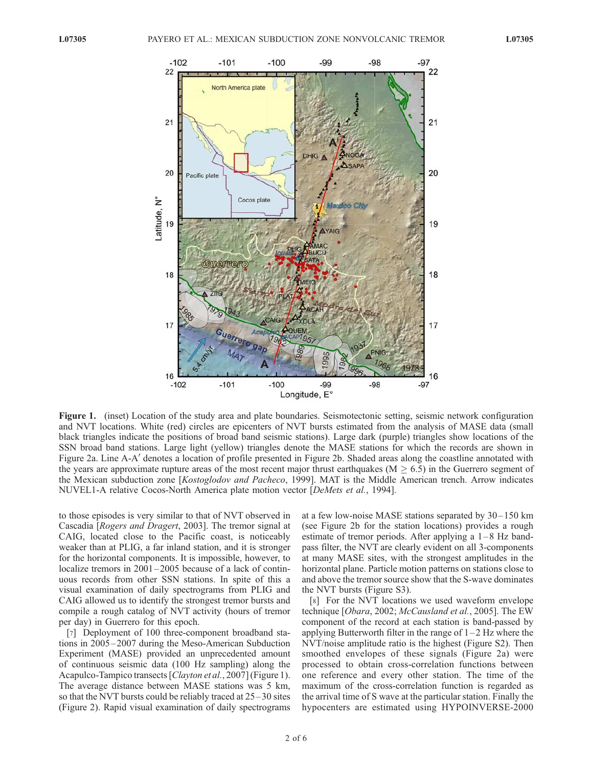

Figure 1. (inset) Location of the study area and plate boundaries. Seismotectonic setting, seismic network configuration and NVT locations. White (red) circles are epicenters of NVT bursts estimated from the analysis of MASE data (small black triangles indicate the positions of broad band seismic stations). Large dark (purple) triangles show locations of the SSN broad band stations. Large light (yellow) triangles denote the MASE stations for which the records are shown in Figure 2a. Line A-A' denotes a location of profile presented in Figure 2b. Shaded areas along the coastline annotated with the years are approximate rupture areas of the most recent major thrust earthquakes ( $M \geq 6.5$ ) in the Guerrero segment of the Mexican subduction zone [Kostoglodov and Pacheco, 1999]. MAT is the Middle American trench. Arrow indicates NUVEL1-A relative Cocos-North America plate motion vector [DeMets et al., 1994].

to those episodes is very similar to that of NVT observed in Cascadia [Rogers and Dragert, 2003]. The tremor signal at CAIG, located close to the Pacific coast, is noticeably weaker than at PLIG, a far inland station, and it is stronger for the horizontal components. It is impossible, however, to localize tremors in 2001-2005 because of a lack of continuous records from other SSN stations. In spite of this a visual examination of daily spectrograms from PLIG and CAIG allowed us to identify the strongest tremor bursts and compile a rough catalog of NVT activity (hours of tremor per day) in Guerrero for this epoch.

[7] Deployment of 100 three-component broadband stations in 2005-2007 during the Meso-American Subduction Experiment (MASE) provided an unprecedented amount of continuous seismic data (100 Hz sampling) along the Acapulco-Tampico transects [Clayton et al., 2007] (Figure 1). The average distance between MASE stations was 5 km, so that the NVT bursts could be reliably traced at 25– 30 sites (Figure 2). Rapid visual examination of daily spectrograms

at a few low-noise MASE stations separated by 30– 150 km (see Figure 2b for the station locations) provides a rough estimate of tremor periods. After applying a  $1-8$  Hz bandpass filter, the NVT are clearly evident on all 3-components at many MASE sites, with the strongest amplitudes in the horizontal plane. Particle motion patterns on stations close to and above the tremor source show that the S-wave dominates the NVT bursts (Figure S3).

[8] For the NVT locations we used waveform envelope technique [Obara, 2002; McCausland et al., 2005]. The EW component of the record at each station is band-passed by applying Butterworth filter in the range of  $1-2$  Hz where the NVT/noise amplitude ratio is the highest (Figure S2). Then smoothed envelopes of these signals (Figure 2a) were processed to obtain cross-correlation functions between one reference and every other station. The time of the maximum of the cross-correlation function is regarded as the arrival time of S wave at the particular station. Finally the hypocenters are estimated using HYPOINVERSE-2000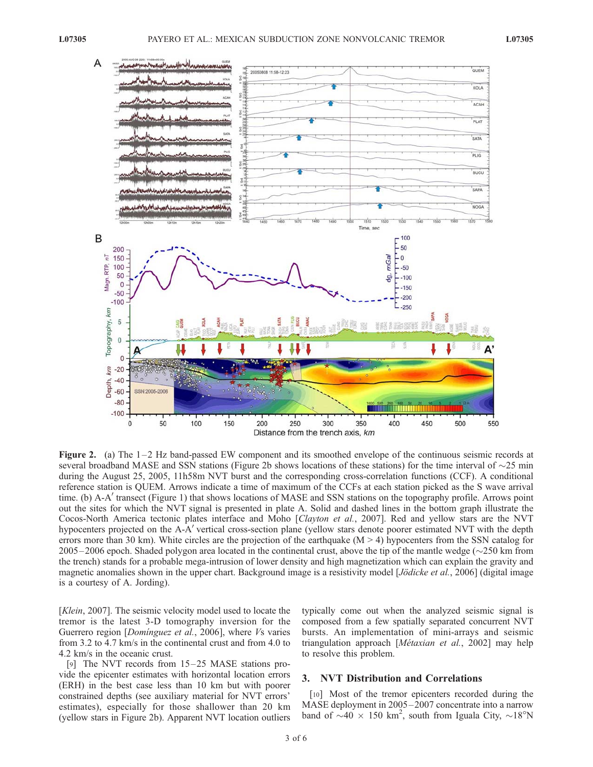

**Figure 2.** (a) The  $1-2$  Hz band-passed EW component and its smoothed envelope of the continuous seismic records at several broadband MASE and SSN stations (Figure 2b shows locations of these stations) for the time interval of  $\sim$ 25 min during the August 25, 2005, 11h58m NVT burst and the corresponding cross-correlation functions (CCF). A conditional reference station is QUEM. Arrows indicate a time of maximum of the CCFs at each station picked as the S wave arrival time. (b) A-A' transect (Figure 1) that shows locations of MASE and SSN stations on the topography profile. Arrows point out the sites for which the NVT signal is presented in plate A. Solid and dashed lines in the bottom graph illustrate the Cocos-North America tectonic plates interface and Moho [Clayton et al., 2007]. Red and yellow stars are the NVT hypocenters projected on the A-A' vertical cross-section plane (yellow stars denote poorer estimated NVT with the depth errors more than 30 km). White circles are the projection of the earthquake  $(M > 4)$  hypocenters from the SSN catalog for  $2005 - 2006$  epoch. Shaded polygon area located in the continental crust, above the tip of the mantle wedge ( $\sim$ 250 km from the trench) stands for a probable mega-intrusion of lower density and high magnetization which can explain the gravity and magnetic anomalies shown in the upper chart. Background image is a resistivity model [*Jödicke et al.*, 2006] (digital image is a courtesy of A. Jording).

[Klein, 2007]. The seismic velocity model used to locate the tremor is the latest 3-D tomography inversion for the Guerrero region [*Dominguez et al.*, 2006], where *Vs* varies from 3.2 to 4.7 km/s in the continental crust and from 4.0 to 4.2 km/s in the oceanic crust.

[9] The NVT records from  $15-25$  MASE stations provide the epicenter estimates with horizontal location errors (ERH) in the best case less than 10 km but with poorer constrained depths (see auxiliary material for NVT errors' estimates), especially for those shallower than 20 km (yellow stars in Figure 2b). Apparent NVT location outliers typically come out when the analyzed seismic signal is composed from a few spatially separated concurrent NVT bursts. An implementation of mini-arrays and seismic triangulation approach [Métaxian et al., 2002] may help to resolve this problem.

#### 3. NVT Distribution and Correlations

[10] Most of the tremor epicenters recorded during the MASE deployment in 2005 – 2007 concentrate into a narrow band of  $\sim 40 \times 150$  km<sup>2</sup>, south from Iguala City,  $\sim 18^{\circ}$ N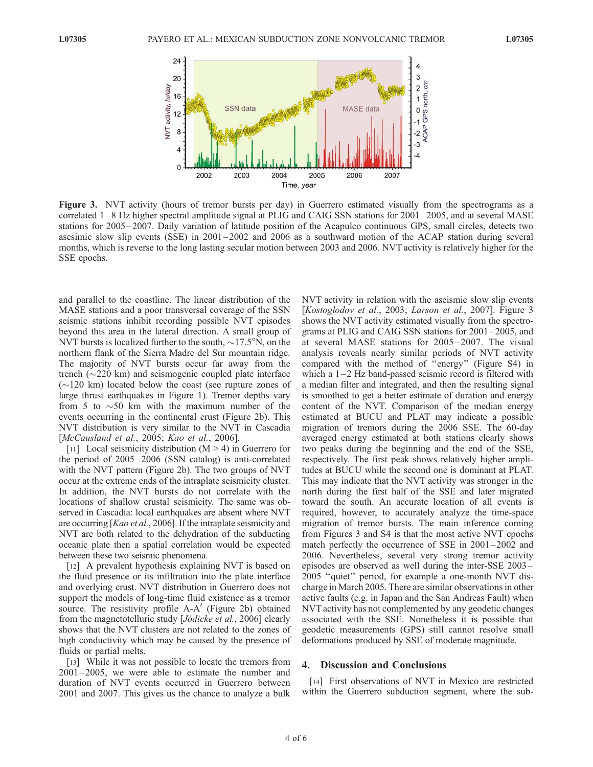

Figure 3. NVT activity (hours of tremor bursts per day) in Guerrero estimated visually from the spectrograms as a correlated 1–8 Hz higher spectral amplitude signal at PLIG and CAIG SSN stations for 2001–2005, and at several MASE stations for 2005 – 2007. Daily variation of latitude position of the Acapulco continuous GPS, small circles, detects two asesimic slow slip events (SSE) in 2001 – 2002 and 2006 as a southward motion of the ACAP station during several months, which is reverse to the long lasting secular motion between 2003 and 2006. NVT activity is relatively higher for the SSE epochs.

and parallel to the coastline. The linear distribution of the MASE stations and a poor transversal coverage of the SSN seismic stations inhibit recording possible NVT episodes beyond this area in the lateral direction. A small group of NVT bursts is localized further to the south,  $\sim$ 17.5<sup>o</sup>N, on the northern flank of the Sierra Madre del Sur mountain ridge. The majority of NVT bursts occur far away from the trench  $(\sim 220 \text{ km})$  and seismogenic coupled plate interface  $(\sim 120 \text{ km})$  located below the coast (see rupture zones of large thrust earthquakes in Figure 1). Tremor depths vary from 5 to  $\sim$  50 km with the maximum number of the events occurring in the continental crust (Figure 2b). This NVT distribution is very similar to the NVT in Cascadia [McCausland et al., 2005; Kao et al., 2006].

[11] Local seismicity distribution  $(M > 4)$  in Guerrero for the period of 2005– 2006 (SSN catalog) is anti-correlated with the NVT pattern (Figure 2b). The two groups of NVT occur at the extreme ends of the intraplate seismicity cluster. In addition, the NVT bursts do not correlate with the locations of shallow crustal seismicity. The same was observed in Cascadia: local earthquakes are absent where NVT are occurring [Kao et al., 2006]. If the intraplate seismicity and NVT are both related to the dehydration of the subducting oceanic plate then a spatial correlation would be expected between these two seismic phenomena.

[12] A prevalent hypothesis explaining NVT is based on the fluid presence or its infiltration into the plate interface and overlying crust. NVT distribution in Guerrero does not support the models of long-time fluid existence as a tremor source. The resistivity profile  $A-A'$  (Figure 2b) obtained from the magnetotelluric study [Jödicke et al., 2006] clearly shows that the NVT clusters are not related to the zones of high conductivity which may be caused by the presence of fluids or partial melts.

[13] While it was not possible to locate the tremors from  $2001 - 2005$ , we were able to estimate the number and duration of NVT events occurred in Guerrero between 2001 and 2007. This gives us the chance to analyze a bulk NVT activity in relation with the aseismic slow slip events [Kostoglodov et al., 2003; Larson et al., 2007]. Figure 3 shows the NVT activity estimated visually from the spectrograms at PLIG and CAIG SSN stations for 2001 – 2005, and at several MASE stations for 2005 – 2007. The visual analysis reveals nearly similar periods of NVT activity compared with the method of ''energy'' (Figure S4) in which a  $1-2$  Hz band-passed seismic record is filtered with a median filter and integrated, and then the resulting signal is smoothed to get a better estimate of duration and energy content of the NVT. Comparison of the median energy estimated at BUCU and PLAT may indicate a possible migration of tremors during the 2006 SSE. The 60-day averaged energy estimated at both stations clearly shows two peaks during the beginning and the end of the SSE, respectively. The first peak shows relatively higher amplitudes at BUCU while the second one is dominant at PLAT. This may indicate that the NVT activity was stronger in the north during the first half of the SSE and later migrated toward the south. An accurate location of all events is required, however, to accurately analyze the time-space migration of tremor bursts. The main inference coming from Figures 3 and S4 is that the most active NVT epochs match perfectly the occurrence of SSE in 2001–2002 and 2006. Nevertheless, several very strong tremor activity episodes are observed as well during the inter-SSE 2003– 2005 ''quiet'' period, for example a one-month NVT discharge in March 2005. There are similar observations in other active faults (e.g. in Japan and the San Andreas Fault) when NVT activity has not complemented by any geodetic changes associated with the SSE. Nonetheless it is possible that geodetic measurements (GPS) still cannot resolve small deformations produced by SSE of moderate magnitude.

#### 4. Discussion and Conclusions

[14] First observations of NVT in Mexico are restricted within the Guerrero subduction segment, where the sub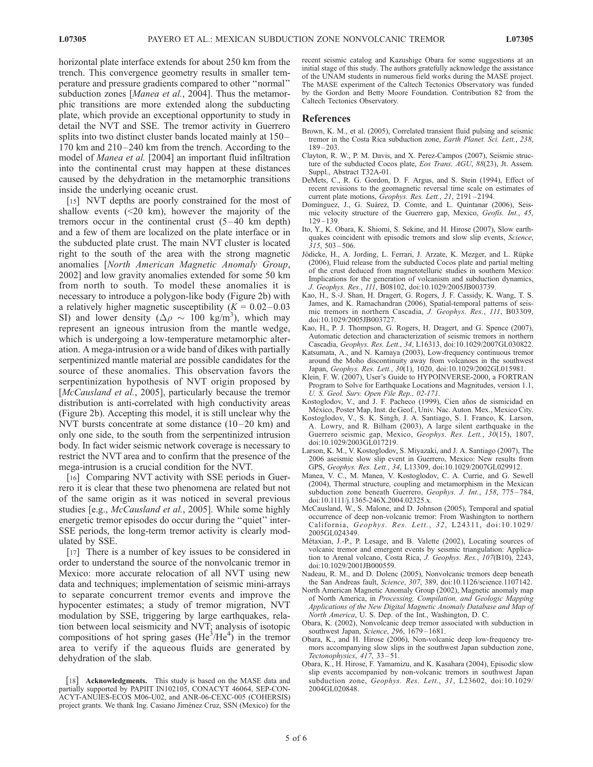horizontal plate interface extends for about 250 km from the trench. This convergence geometry results in smaller temperature and pressure gradients compared to other ''normal'' subduction zones [Manea et al., 2004]. Thus the metamorphic transitions are more extended along the subducting plate, which provide an exceptional opportunity to study in detail the NVT and SSE. The tremor activity in Guerrero splits into two distinct cluster bands located mainly at 150– 170 km and 210-240 km from the trench. According to the model of Manea et al. [2004] an important fluid infiltration into the continental crust may happen at these distances caused by the dehydration in the metamorphic transitions inside the underlying oceanic crust.

[15] NVT depths are poorly constrained for the most of shallow events  $(\leq 20 \text{ km})$ , however the majority of the tremors occur in the continental crust  $(5-40 \text{ km depth})$ and a few of them are localized on the plate interface or in the subducted plate crust. The main NVT cluster is located right to the south of the area with the strong magnetic anomalies [North American Magnetic Anomaly Group, 2002] and low gravity anomalies extended for some 50 km from north to south. To model these anomalies it is necessary to introduce a polygon-like body (Figure 2b) with a relatively higher magnetic susceptibility ( $K = 0.02 - 0.03$ ) SI) and lower density ( $\Delta \rho \sim 100$  kg/m<sup>3</sup>), which may represent an igneous intrusion from the mantle wedge, which is undergoing a low-temperature metamorphic alteration. A mega-intrusion or a wide band of dikes with partially serpentinized mantle material are possible candidates for the source of these anomalies. This observation favors the serpentinization hypothesis of NVT origin proposed by [McCausland et al., 2005], particularly because the tremor distribution is anti-correlated with high conductivity areas (Figure 2b). Accepting this model, it is still unclear why the NVT bursts concentrate at some distance  $(10-20 \text{ km})$  and only one side, to the south from the serpentinized intrusion body. In fact wider seismic network coverage is necessary to restrict the NVT area and to confirm that the presence of the mega-intrusion is a crucial condition for the NVT.

[16] Comparing NVT activity with SSE periods in Guerrero it is clear that these two phenomena are related but not of the same origin as it was noticed in several previous studies [e.g., McCausland et al., 2005]. While some highly energetic tremor episodes do occur during the ''quiet'' inter-SSE periods, the long-term tremor activity is clearly modulated by SSE.

[17] There is a number of key issues to be considered in order to understand the source of the nonvolcanic tremor in Mexico: more accurate relocation of all NVT using new data and techniques; implementation of seismic mini-arrays to separate concurrent tremor events and improve the hypocenter estimates; a study of tremor migration, NVT modulation by SSE, triggering by large earthquakes, relation between local seismicity and NVT; analysis of isotopic compositions of hot spring gases  $(He^{3}/He^{4})$  in the tremor area to verify if the aqueous fluids are generated by dehydration of the slab.

recent seismic catalog and Kazushige Obara for some suggestions at an initial stage of this study. The authors gratefully acknowledge the assistance of the UNAM students in numerous field works during the MASE project. The MASE experiment of the Caltech Tectonics Observatory was funded by the Gordon and Betty Moore Foundation. Contribution 82 from the Caltech Tectonics Observatory.

#### References

- Brown, K. M., et al. (2005), Correlated transient fluid pulsing and seismic tremor in the Costa Rica subduction zone, Earth Planet. Sci. Lett., 238, 189 – 203.
- Clayton, R. W., P. M. Davis, and X. Perez-Campos (2007), Seismic structure of the subducted Cocos plate, Eos Trans. AGU, 88(23), Jt. Assem. Suppl., Abstract T32A-01.
- DeMets, C., R. G. Gordon, D. F. Argus, and S. Stein (1994), Effect of recent revisions to the geomagnetic reversal time scale on estimates of current plate motions, Geophys. Res. Lett., 21, 2191-2194.
- Domínguez, J., G. Suárez, D. Comte, and L. Quintanar (2006), Seismic velocity structure of the Guerrero gap, Mexico, Geofis. Int., 45,  $129 - 139.$
- Ito, Y., K. Obara, K. Shiomi, S. Sekine, and H. Hirose (2007), Slow earthquakes coincident with episodic tremors and slow slip events, Science,  $315, 503 - 506.$
- Jödicke, H., A. Jording, L. Ferrari, J. Arzate, K. Mezger, and L. Rüpke (2006), Fluid release from the subducted Cocos plate and partial melting of the crust deduced from magnetotelluric studies in southern Mexico: Implications for the generation of volcanism and subduction dynamics, J. Geophys. Res., 111, B08102, doi:10.1029/2005JB003739.
- Kao, H., S.-J. Shan, H. Dragert, G. Rogers, J. F. Cassidy, K. Wang, T. S. James, and K. Ramachandran (2006), Spatial-temporal patterns of seismic tremors in northern Cascadia, J. Geophys. Res., 111, B03309, doi:10.1029/2005JB003727.
- Kao, H., P. J. Thompson, G. Rogers, H. Dragert, and G. Spence (2007), Automatic detection and characterization of seismic tremors in northern Cascadia, Geophys. Res. Lett., 34, L16313, doi:10.1029/2007GL030822.
- Katsumata, A., and N. Kamaya (2003), Low-frequency continuous tremor around the Moho discontinuity away from volcanoes in the southwest Japan, Geophys. Res. Lett., 30(1), 1020, doi:10.1029/2002GL015981.
- Klein, F. W. (2007), User's Guide to HYPOINVERSE-2000, a FORTRAN Program to Solve for Earthquake Locations and Magnitudes, version 1.1, U. S. Geol. Surv. Open File Rep., 02-171.
- Kostoglodov, V., and J. F. Pacheco (1999), Cien años de sismicidad en México, Poster Map, Inst. de Geof., Univ. Nac. Auton. Mex., Mexico City.
- Kostoglodov, V., S. K. Singh, J. A. Santiago, S. I. Franco, K. Larson, A. Lowry, and R. Bilham (2003), A large silent earthquake in the Guerrero seismic gap, Mexico, Geophys. Res. Lett., 30(15), 1807, doi:10.1029/2003GL017219.
- Larson, K. M., V. Kostoglodov, S. Miyazaki, and J. A. Santiago (2007), The 2006 aseismic slow slip event in Guerrero, Mexico: New results from GPS, Geophys. Res. Lett., 34, L13309, doi:10.1029/2007GL029912.
- Manea, V. C., M. Manea, V. Kostoglodov, C. A. Currie, and G. Sewell (2004), Thermal structure, coupling and metamorphism in the Mexican subduction zone beneath Guerrero, Geophys. J. Int., 158, 775-784, doi:10.1111/j.1365-246X.2004.02325.x.
- McCausland, W., S. Malone, and D. Johnson (2005), Temporal and spatial occurrence of deep non-volcanic tremor: From Washington to northern California, Geophys. Res. Lett., 32, L24311, doi:10.1029/ 2005GL024349.
- Métaxian, J.-P., P. Lesage, and B. Valette (2002), Locating sources of volcanic tremor and emergent events by seismic triangulation: Application to Arenal volcano, Costa Rica, J. Geophys. Res., 107(B10), 2243, doi:10.1029/2001JB000559.
- Nadeau, R. M., and D. Dolenc (2005), Nonvolcanic tremors deep beneath the San Andreas fault, Science, 307, 389, doi:10.1126/science.1107142.
- North American Magnetic Anomaly Group (2002), Magnetic anomaly map of North America, in Processing, Compilation, and Geologic Mapping Applications of the New Digital Magnetic Anomaly Database and Map of North America, U. S. Dep. of the Int., Washington, D. C.
- Obara, K. (2002), Nonvolcanic deep tremor associated with subduction in southwest Japan, Science, 296, 1679-1681.
- Obara, K., and H. Hirose (2006), Non-volcanic deep low-frequency tremors accompanying slow slips in the southwest Japan subduction zone, Tectonophysics, 417, 33-51.
- Obara, K., H. Hirose, F. Yamamizu, and K. Kasahara (2004), Episodic slow slip events accompanied by non-volcanic tremors in southwest Japan subduction zone, Geophys. Res. Lett., 31, L23602, doi:10.1029/ 2004GL020848.

<sup>[18]</sup> Acknowledgments. This study is based on the MASE data and partially supported by PAPIIT IN102105, CONACYT 46064, SEP-CON-ACYT-ANUIES-ECOS M06-U02, and ANR-06-CEXC-005 (COHERSIS) project grants. We thank Ing. Casiano Jiménez Cruz, SSN (Mexico) for the